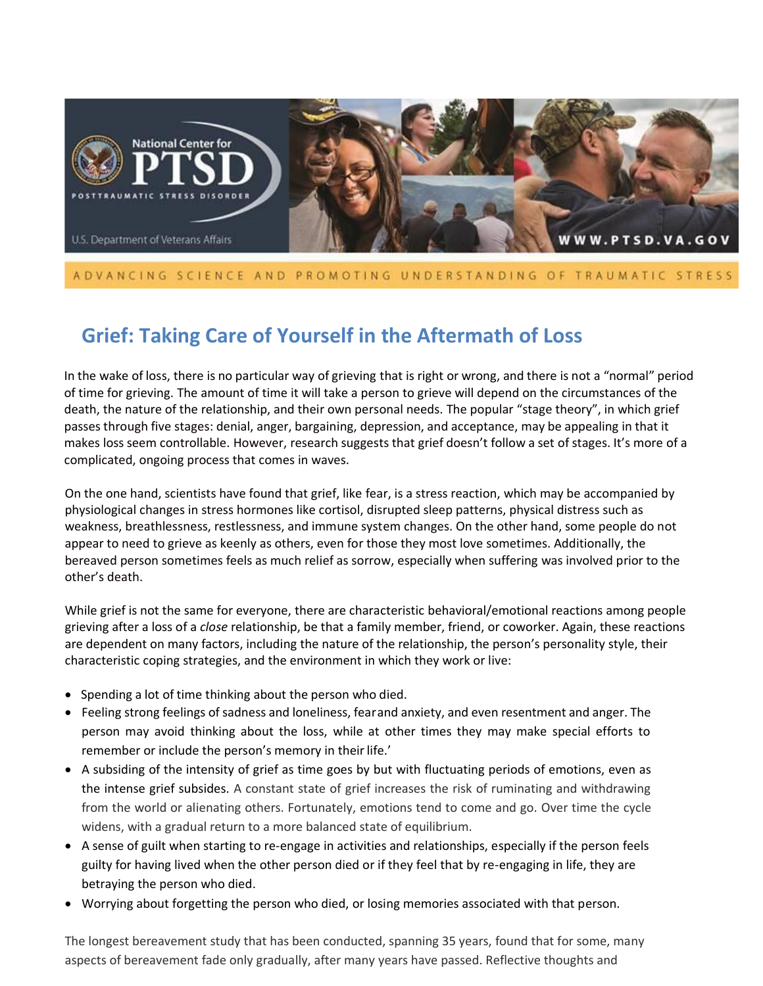

#### ADVANCING SCIENCE AND PROMOTING UNDERSTANDING OF TRAUMATIC STRESS

# **Grief: Taking Care of Yourself in the Aftermath of Loss**

In the wake of loss, there is no particular way of grieving that is right or wrong, and there is not a "normal" period of time for grieving. The amount of time it will take a person to grieve will depend on the circumstances of the death, the nature of the relationship, and their own personal needs. The popular "stage theory", in which grief passes through five stages: denial, anger, bargaining, depression, and acceptance, may be appealing in that it makes loss seem controllable. However, research suggests that grief doesn't follow a set of stages. It's more of a complicated, ongoing process that comes in waves.

On the one hand, scientists have found that grief, like fear, is a stress reaction, which may be accompanied by physiological changes in stress hormones like cortisol, disrupted sleep patterns, physical distress such as weakness, breathlessness, restlessness, and immune system changes. On the other hand, some people do not appear to need to grieve as keenly as others, even for those they most love sometimes. Additionally, the bereaved person sometimes feels as much relief as sorrow, especially when suffering was involved prior to the other's death.

While grief is not the same for everyone, there are characteristic behavioral/emotional reactions among people grieving after a loss of a *close* relationship, be that a family member, friend, or coworker. Again, these reactions are dependent on many factors, including the nature of the relationship, the person's personality style, their characteristic coping strategies, and the environment in which they work or live:

- Spending a lot of time thinking about the person who died.
- Feeling strong feelings of sadness and loneliness, fearand anxiety, and even resentment and anger. The person may avoid thinking about the loss, while at other times they may make special efforts to remember or include the person's memory in their life.'
- A subsiding of the intensity of grief as time goes by but with fluctuating periods of emotions, even as the intense grief subsides. A constant state of grief increases the risk of ruminating and withdrawing from the world or alienating others. Fortunately, emotions tend to come and go. Over time the cycle widens, with a gradual return to a more balanced state of equilibrium.
- A sense of guilt when starting to re-engage in activities and relationships, especially if the person feels guilty for having lived when the other person died or if they feel that by re-engaging in life, they are betraying the person who died.
- Worrying about forgetting the person who died, or losing memories associated with that person.

The longest bereavement study that has been conducted, spanning 35 years, found that for some, many aspects of bereavement fade only gradually, after many years have passed. Reflective thoughts and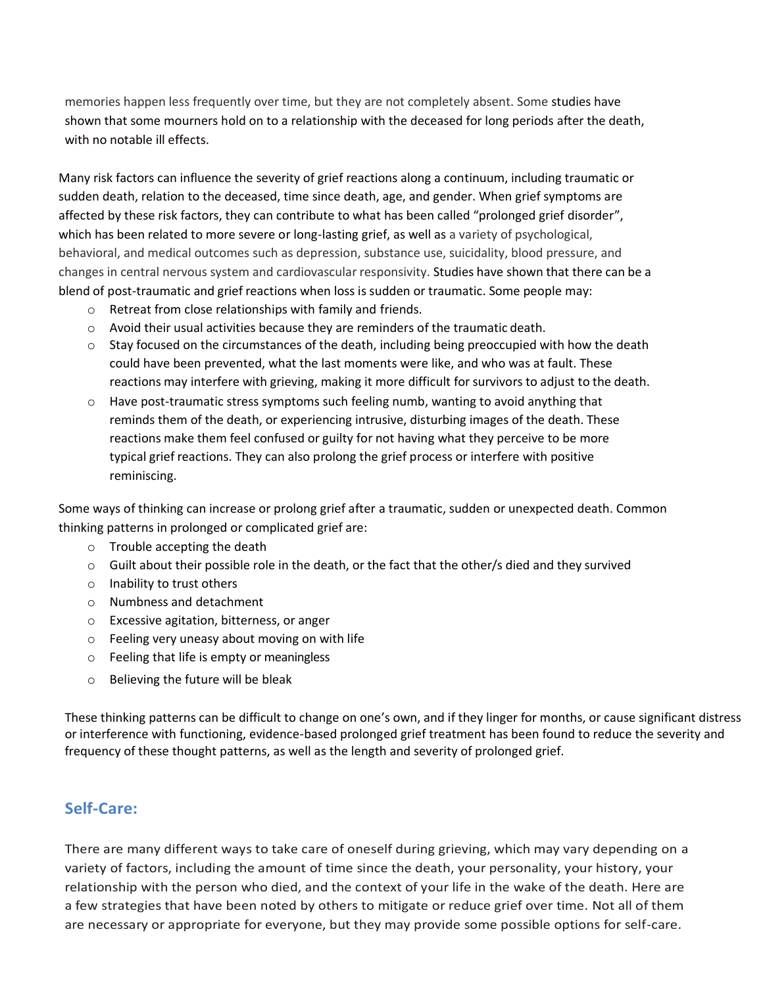memories happen less frequently over time, but they are not completely absent. Some studies have shown that some mourners hold on to a relationship with the deceased for long periods after the death, with no notable ill effects.

Many risk factors can influence the severity of grief reactions along a continuum, including traumatic or sudden death, relation to the deceased, time since death, age, and gender. When grief symptoms are affected by these risk factors, they can contribute to what has been called "prolonged grief disorder", which has been related to more severe or long-lasting grief, as well as a variety of psychological, behavioral, and medical outcomes such as depression, substance use, suicidality, blood pressure, and changes in central nervous system and cardiovascular responsivity. Studies have shown that there can be a blend of post-traumatic and grief reactions when loss is sudden or traumatic. Some people may:

- o Retreat from close relationships with family and friends.
- $\circ$  Avoid their usual activities because they are reminders of the traumatic death.
- $\circ$  Stay focused on the circumstances of the death, including being preoccupied with how the death could have been prevented, what the last moments were like, and who was at fault. These reactions may interfere with grieving, making it more difficult for survivors to adjust to the death.
- $\circ$  Have post-traumatic stress symptoms such feeling numb, wanting to avoid anything that reminds them of the death, or experiencing intrusive, disturbing images of the death. These reactions make them feel confused or guilty for not having what they perceive to be more typical grief reactions. They can also prolong the grief process or interfere with positive reminiscing.

Some ways of thinking can increase or prolong grief after a traumatic, sudden or unexpected death. Common thinking patterns in prolonged or complicated grief are:

- o Trouble accepting the death
- o Guilt about their possible role in the death, or the fact that the other/s died and they survived
- o Inability to trust others
- o Numbness and detachment
- o Excessive agitation, bitterness, or anger
- o Feeling very uneasy about moving on with life
- o Feeling that life is empty or meaningless
- o Believing the future will be bleak

These thinking patterns can be difficult to change on one's own, and if they linger for months, or cause significant distress or interference with functioning, evidence-based prolonged grief treatment has been found to reduce the severity and frequency of these thought patterns, as well as the length and severity of prolonged grief.

## **Self-Care:**

There are many different ways to take care of oneself during grieving, which may vary depending on a variety of factors, including the amount of time since the death, your personality, your history, your relationship with the person who died, and the context of your life in the wake of the death. Here are a few strategies that have been noted by others to mitigate or reduce grief over time. Not all of them are necessary or appropriate for everyone, but they may provide some possible options for self-care.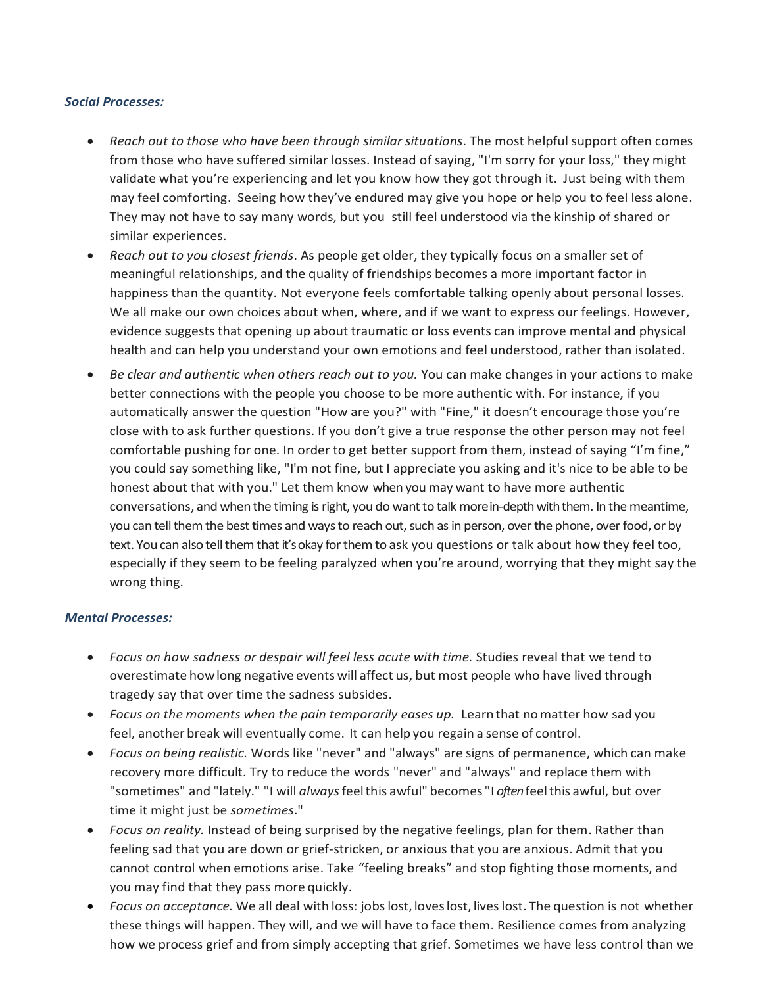#### *Social Processes:*

- *Reach out to those who have been through similar situations.* The most helpful support often comes from those who have suffered similar losses. Instead of saying, "I'm sorry for your loss," they might validate what you're experiencing and let you know how they got through it. Just being with them may feel comforting. Seeing how they've endured may give you hope or help you to feel less alone. They may not have to say many words, but you still feel understood via the kinship of shared or similar experiences.
- *Reach out to you closest friends*. As people get older, they typically focus on a smaller set of meaningful relationships, and the quality of friendships becomes a more important factor in happiness than the quantity. Not everyone feels comfortable talking openly about personal losses. We all make our own choices about when, where, and if we want to express our feelings. However, evidence suggests that opening up about traumatic or loss events can improve mental and physical health and can help you understand your own emotions and feel understood, rather than isolated.
- *Be clear and authentic when others reach out to you.* You can make changes in your actions to make better connections with the people you choose to be more authentic with. For instance, if you automatically answer the question "How are you?" with "Fine," it doesn't encourage those you're close with to ask further questions. If you don't give a true response the other person may not feel comfortable pushing for one. In order to get better support from them, instead of saying "I'm fine," you could say something like, "I'm not fine, but I appreciate you asking and it's nice to be able to be honest about that with you." Let them know when you may want to have more authentic conversations, and when the timing is right, you do want to talk morein-depth with them. In the meantime, you can tell them the best times and ways to reach out, such as in person, over the phone, over food, or by text. You can also tell them that it's okay for them to ask you questions or talk about how they feel too, especially if they seem to be feeling paralyzed when you're around, worrying that they might say the wrong thing.

#### *Mental Processes:*

- *Focus on how sadness or despair will feel less acute with time.* Studies reveal that we tend to overestimate howlong negative events will affect us, but most people who have lived through tragedy say that over time the sadness subsides.
- *Focus on the moments when the pain temporarily eases up.* Learnthat nomatter how sad you feel, another break will eventually come. It can help you regain a sense of control.
- *Focus on being realistic.* Words like "never" and "always" are signs of permanence, which can make recovery more difficult. Try to reduce the words "never" and "always" and replace them with "sometimes" and "lately." "I will *always*feelthis awful" becomes "I *often*feelthis awful, but over time it might just be *sometimes*."
- *Focus on reality.* Instead of being surprised by the negative feelings, plan for them. Rather than feeling sad that you are down or grief-stricken, or anxious that you are anxious. Admit that you cannot control when emotions arise. Take "feeling breaks" and stop fighting those moments, and you may find that they pass more quickly.
- *Focus on acceptance.* We all deal with loss: jobslost, loveslost, liveslost. The question is not whether these things will happen. They will, and we will have to face them. Resilience comes from analyzing how we process grief and from simply accepting that grief. Sometimes we have less control than we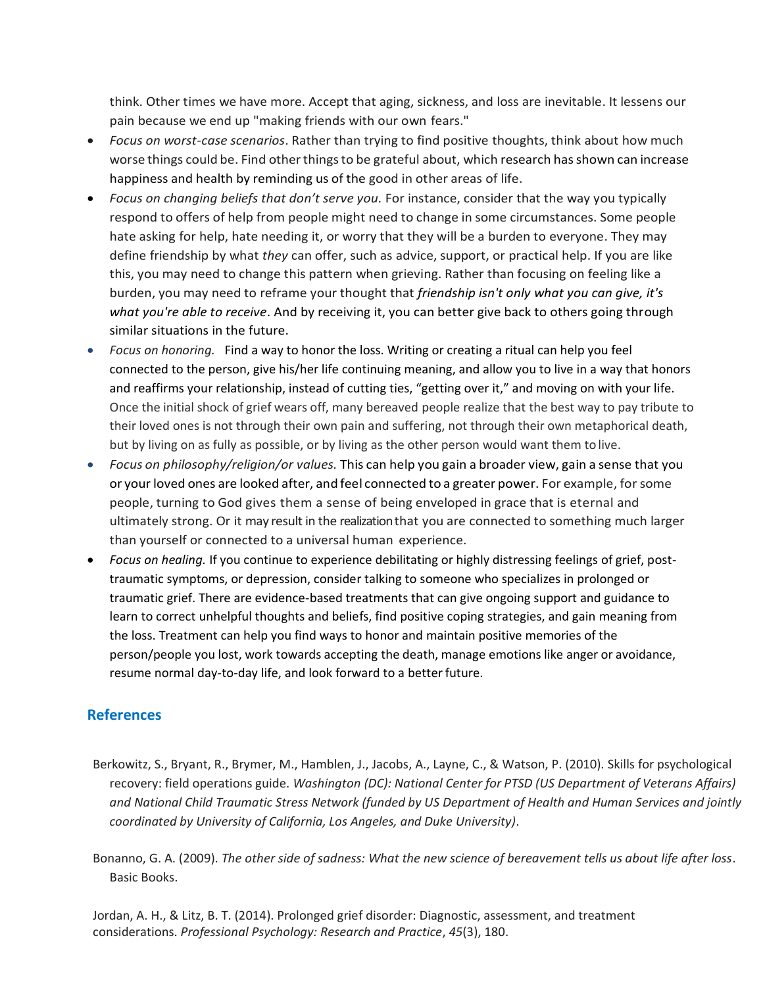think. Other times we have more. Accept that aging, sickness, and loss are inevitable. It lessens our pain because we end up "making friends with our own fears."

- *Focus on worst-case scenarios*. Rather than trying to find positive thoughts, think about how much worse things could be. Find otherthingsto be grateful about, which research hasshown can increase happiness and health by reminding us of the good in other areas of life.
- *Focus on changing beliefs that don't serve you.* For instance, consider that the way you typically respond to offers of help from people might need to change in some circumstances. Some people hate asking for help, hate needing it, or worry that they will be a burden to everyone. They may define friendship by what *they* can offer, such as advice, support, or practical help. If you are like this, you may need to change this pattern when grieving. Rather than focusing on feeling like a burden, you may need to reframe your thought that *friendship isn't only what you can give, it's what you're able to receive*. And by receiving it, you can better give back to others going through similar situations in the future.
- *Focus on honoring.* Find a way to honor the loss. Writing or creating a ritual can help you feel connected to the person, give his/her life continuing meaning, and allow you to live in a way that honors and reaffirms your relationship, instead of cutting ties, "getting over it," and moving on with your life. Once the initial shock of grief wears off, many bereaved people realize that the best way to pay tribute to their loved ones is not through their own pain and suffering, not through their own metaphorical death, but by living on as fully as possible, or by living as the other person would want them to live.
- *Focus on philosophy/religion/or values.* This can help you gain a broader view, gain a sense that you or your loved ones are looked after, and feel connected to a greater power. For example, for some people, turning to God gives them a sense of being enveloped in grace that is eternal and ultimately strong. Or it may result in the realization that you are connected to something much larger than yourself or connected to a universal human experience.
- *Focus on healing.* If you continue to experience debilitating or highly distressing feelings of grief, posttraumatic symptoms, or depression, consider talking to someone who specializes in prolonged or traumatic grief. There are evidence-based treatments that can give ongoing support and guidance to learn to correct unhelpful thoughts and beliefs, find positive coping strategies, and gain meaning from the loss. Treatment can help you find ways to honor and maintain positive memories of the person/people you lost, work towards accepting the death, manage emotions like anger or avoidance, resume normal day-to-day life, and look forward to a better future.

### **References**

- Berkowitz, S., Bryant, R., Brymer, M., Hamblen, J., Jacobs, A., Layne, C., & Watson, P. (2010). Skills for psychological recovery: field operations guide. *Washington (DC): National Center for PTSD (US Department of Veterans Affairs) and National Child Traumatic Stress Network (funded by US Department of Health and Human Services and jointly coordinated by University of California, Los Angeles, and Duke University)*.
- Bonanno, G. A. (2009). *The other side of sadness: What the new science of bereavement tells us about life after loss*. Basic Books.

Jordan, A. H., & Litz, B. T. (2014). Prolonged grief disorder: Diagnostic, assessment, and treatment considerations. *Professional Psychology: Research and Practice*, *45*(3), 180.